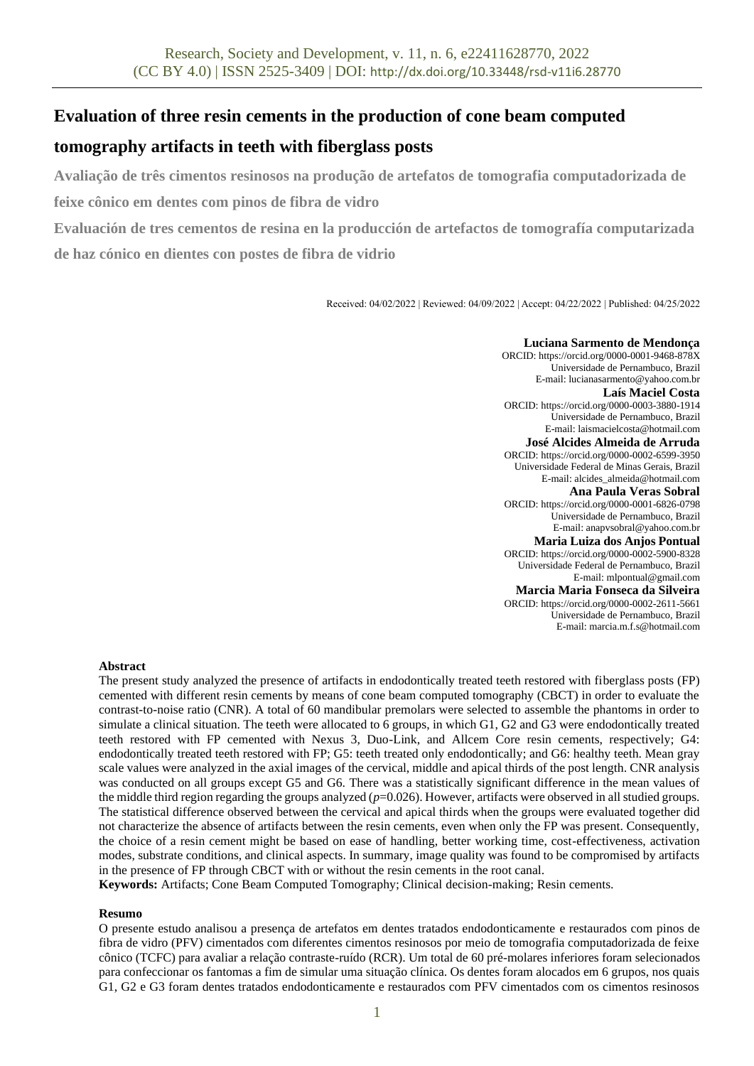# **Evaluation of three resin cements in the production of cone beam computed**

# **tomography artifacts in teeth with fiberglass posts**

**Avaliação de três cimentos resinosos na produção de artefatos de tomografia computadorizada de** 

**feixe cônico em dentes com pinos de fibra de vidro**

**Evaluación de tres cementos de resina en la producción de artefactos de tomografía computarizada** 

**de haz cónico en dientes con postes de fibra de vidrio**

Received: 04/02/2022 | Reviewed: 04/09/2022 | Accept: 04/22/2022 | Published: 04/25/2022

**Luciana Sarmento de Mendonça** ORCID: https://orcid.org/0000-0001-9468-878X Universidade de Pernambuco, Brazil E-mail: lucianasarmento@yahoo.com.br **Laís Maciel Costa** ORCID[: https://orcid.org/0](https://orcid.org/0000-0002-1102-9672)000-0003-3880-1914 Universidade de Pernambuco, Brazil E-mail: laismacielcosta@hotmail.com **José Alcides Almeida de Arruda** ORCID[: https://orcid.org/0000-0002-6599-3950](https://orcid.org/0000-0002-6599-3950) Universidade Federal de Minas Gerais, Brazil E-mail: alcides\_almeida@hotmail.com **Ana Paula Veras Sobral** ORCID[: https://orcid.org/0000-0001-6826-0798](https://orcid.org/0000-0002-2575-6141) Universidade de Pernambuco, Brazil E-mail: anapvsobral@yahoo.com.br **Maria Luiza dos Anjos Pontual** ORCID: https://orcid.org/0000-0002-5900-8328 Universidade Federal de Pernambuco, Brazil E-mail: mlpontual@gmail.com **Marcia Maria Fonseca da Silveira** ORCID: https://orcid.org/0000-0002-2611-5661 Universidade de Pernambuco, Brazil E-mail: marcia.m.f.s@hotmail.com

# **Abstract**

The present study analyzed the presence of artifacts in endodontically treated teeth restored with fiberglass posts (FP) cemented with different resin cements by means of cone beam computed tomography (CBCT) in order to evaluate the contrast-to-noise ratio (CNR). A total of 60 mandibular premolars were selected to assemble the phantoms in order to simulate a clinical situation. The teeth were allocated to 6 groups, in which G1, G2 and G3 were endodontically treated teeth restored with FP cemented with Nexus 3, Duo-Link, and Allcem Core resin cements, respectively; G4: endodontically treated teeth restored with FP; G5: teeth treated only endodontically; and G6: healthy teeth. Mean gray scale values were analyzed in the axial images of the cervical, middle and apical thirds of the post length. CNR analysis was conducted on all groups except G5 and G6. There was a statistically significant difference in the mean values of the middle third region regarding the groups analyzed (*p*=0.026). However, artifacts were observed in all studied groups. The statistical difference observed between the cervical and apical thirds when the groups were evaluated together did not characterize the absence of artifacts between the resin cements, even when only the FP was present. Consequently, the choice of a resin cement might be based on ease of handling, better working time, cost-effectiveness, activation modes, substrate conditions, and clinical aspects. In summary, image quality was found to be compromised by artifacts in the presence of FP through CBCT with or without the resin cements in the root canal.

**Keywords:** Artifacts; Cone Beam Computed Tomography; Clinical decision-making; Resin cements.

# **Resumo**

O presente estudo analisou a presença de artefatos em dentes tratados endodonticamente e restaurados com pinos de fibra de vidro (PFV) cimentados com diferentes cimentos resinosos por meio de tomografia computadorizada de feixe cônico (TCFC) para avaliar a relação contraste-ruído (RCR). Um total de 60 pré-molares inferiores foram selecionados para confeccionar os fantomas a fim de simular uma situação clínica. Os dentes foram alocados em 6 grupos, nos quais G1, G2 e G3 foram dentes tratados endodonticamente e restaurados com PFV cimentados com os cimentos resinosos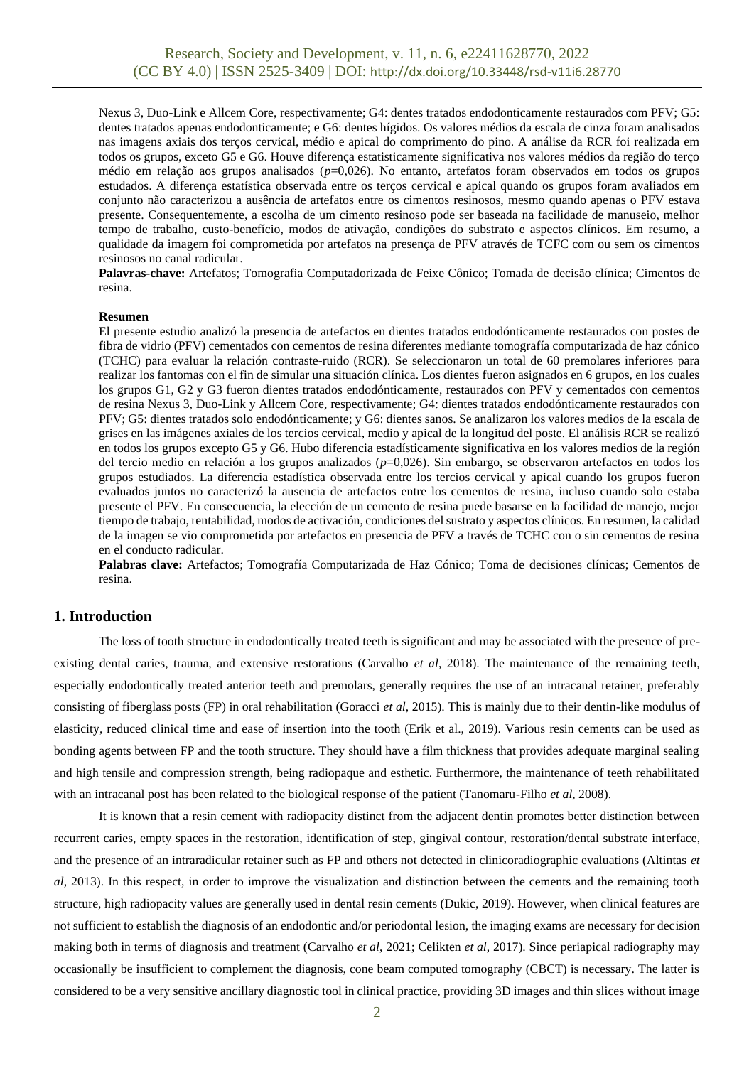Nexus 3, Duo-Link e Allcem Core, respectivamente; G4: dentes tratados endodonticamente restaurados com PFV; G5: dentes tratados apenas endodonticamente; e G6: dentes hígidos. Os valores médios da escala de cinza foram analisados nas imagens axiais dos terços cervical, médio e apical do comprimento do pino. A análise da RCR foi realizada em todos os grupos, exceto G5 e G6. Houve diferença estatisticamente significativa nos valores médios da região do terço médio em relação aos grupos analisados (*p*=0,026). No entanto, artefatos foram observados em todos os grupos estudados. A diferença estatística observada entre os terços cervical e apical quando os grupos foram avaliados em conjunto não caracterizou a ausência de artefatos entre os cimentos resinosos, mesmo quando apenas o PFV estava presente. Consequentemente, a escolha de um cimento resinoso pode ser baseada na facilidade de manuseio, melhor tempo de trabalho, custo-benefício, modos de ativação, condições do substrato e aspectos clínicos. Em resumo, a qualidade da imagem foi comprometida por artefatos na presença de PFV através de TCFC com ou sem os cimentos resinosos no canal radicular.

**Palavras-chave:** Artefatos; Tomografia Computadorizada de Feixe Cônico; Tomada de decisão clínica; Cimentos de resina.

#### **Resumen**

El presente estudio analizó la presencia de artefactos en dientes tratados endodónticamente restaurados con postes de fibra de vidrio (PFV) cementados con cementos de resina diferentes mediante tomografía computarizada de haz cónico (TCHC) para evaluar la relación contraste-ruido (RCR). Se seleccionaron un total de 60 premolares inferiores para realizar los fantomas con el fin de simular una situación clínica. Los dientes fueron asignados en 6 grupos, en los cuales los grupos G1, G2 y G3 fueron dientes tratados endodónticamente, restaurados con PFV y cementados con cementos de resina Nexus 3, Duo-Link y Allcem Core, respectivamente; G4: dientes tratados endodónticamente restaurados con PFV; G5: dientes tratados solo endodónticamente; y G6: dientes sanos. Se analizaron los valores medios de la escala de grises en las imágenes axiales de los tercios cervical, medio y apical de la longitud del poste. El análisis RCR se realizó en todos los grupos excepto G5 y G6. Hubo diferencia estadísticamente significativa en los valores medios de la región del tercio medio en relación a los grupos analizados (*p*=0,026). Sin embargo, se observaron artefactos en todos los grupos estudiados. La diferencia estadística observada entre los tercios cervical y apical cuando los grupos fueron evaluados juntos no caracterizó la ausencia de artefactos entre los cementos de resina, incluso cuando solo estaba presente el PFV. En consecuencia, la elección de un cemento de resina puede basarse en la facilidad de manejo, mejor tiempo de trabajo, rentabilidad, modos de activación, condiciones del sustrato y aspectos clínicos. En resumen, la calidad de la imagen se vio comprometida por artefactos en presencia de PFV a través de TCHC con o sin cementos de resina en el conducto radicular.

**Palabras clave:** Artefactos; Tomografía Computarizada de Haz Cónico; Toma de decisiones clínicas; Cementos de resina.

# **1. Introduction**

The loss of tooth structure in endodontically treated teeth is significant and may be associated with the presence of preexisting dental caries, trauma, and extensive restorations (Carvalho *et al*, 2018). The maintenance of the remaining teeth, especially endodontically treated anterior teeth and premolars, generally requires the use of an intracanal retainer, preferably consisting of fiberglass posts (FP) in oral rehabilitation (Goracci *et al*, 2015). This is mainly due to their dentin-like modulus of elasticity, reduced clinical time and ease of insertion into the tooth (Erik et al., 2019). Various resin cements can be used as bonding agents between FP and the tooth structure. They should have a film thickness that provides adequate marginal sealing and high tensile and compression strength, being radiopaque and esthetic. Furthermore, the maintenance of teeth rehabilitated with an intracanal post has been related to the biological response of the patient (Tanomaru-Filho *et al*, 2008).

It is known that a resin cement with radiopacity distinct from the adjacent dentin promotes better distinction between recurrent caries, empty spaces in the restoration, identification of step, gingival contour, restoration/dental substrate interface, and the presence of an intraradicular retainer such as FP and others not detected in clinicoradiographic evaluations (Altintas *et al*, 2013). In this respect, in order to improve the visualization and distinction between the cements and the remaining tooth structure, high radiopacity values are generally used in dental resin cements (Dukic, 2019). However, when clinical features are not sufficient to establish the diagnosis of an endodontic and/or periodontal lesion, the imaging exams are necessary for decision making both in terms of diagnosis and treatment (Carvalho *et al*, 2021; Celikten *et al*, 2017). Since periapical radiography may occasionally be insufficient to complement the diagnosis, cone beam computed tomography (CBCT) is necessary. The latter is considered to be a very sensitive ancillary diagnostic tool in clinical practice, providing 3D images and thin slices without image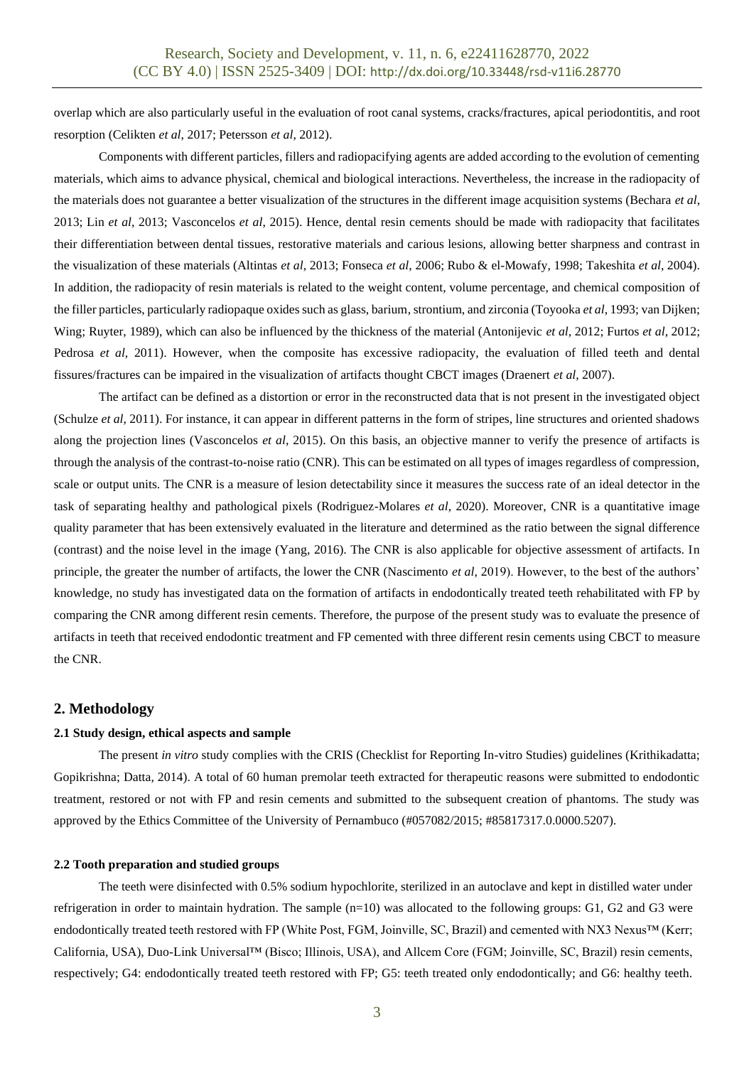overlap which are also particularly useful in the evaluation of root canal systems, cracks/fractures, apical periodontitis, and root resorption (Celikten *et al*, 2017; Petersson *et al*, 2012).

Components with different particles, fillers and radiopacifying agents are added according to the evolution of cementing materials, which aims to advance physical, chemical and biological interactions. Nevertheless, the increase in the radiopacity of the materials does not guarantee a better visualization of the structures in the different image acquisition systems (Bechara *et al*, 2013; Lin *et al*, 2013; Vasconcelos *et al*, 2015). Hence, dental resin cements should be made with radiopacity that facilitates their differentiation between dental tissues, restorative materials and carious lesions, allowing better sharpness and contrast in the visualization of these materials (Altintas *et al*, 2013; Fonseca *et al*, 2006; Rubo & el-Mowafy, 1998; Takeshita *et al*, 2004). In addition, the radiopacity of resin materials is related to the weight content, volume percentage, and chemical composition of the filler particles, particularly radiopaque oxides such as glass, barium, strontium, and zirconia (Toyooka *et al*, 1993; van Dijken; Wing; Ruyter, 1989), which can also be influenced by the thickness of the material (Antonijevic *et al*, 2012; Furtos *et al*, 2012; Pedrosa *et al*, 2011). However, when the composite has excessive radiopacity, the evaluation of filled teeth and dental fissures/fractures can be impaired in the visualization of artifacts thought CBCT images (Draenert *et al*, 2007).

The artifact can be defined as a distortion or error in the reconstructed data that is not present in the investigated object (Schulze *et al*, 2011). For instance, it can appear in different patterns in the form of stripes, line structures and oriented shadows along the projection lines (Vasconcelos *et al*, 2015). On this basis, an objective manner to verify the presence of artifacts is through the analysis of the contrast-to-noise ratio (CNR). This can be estimated on all types of images regardless of compression, scale or output units. The CNR is a measure of lesion detectability since it measures the success rate of an ideal detector in the task of separating healthy and pathological pixels (Rodriguez-Molares *et al*, 2020). Moreover, CNR is a quantitative image quality parameter that has been extensively evaluated in the literature and determined as the ratio between the signal difference (contrast) and the noise level in the image (Yang, 2016). The CNR is also applicable for objective assessment of artifacts. In principle, the greater the number of artifacts, the lower the CNR (Nascimento *et al*, 2019). However, to the best of the authors' knowledge, no study has investigated data on the formation of artifacts in endodontically treated teeth rehabilitated with FP by comparing the CNR among different resin cements. Therefore, the purpose of the present study was to evaluate the presence of artifacts in teeth that received endodontic treatment and FP cemented with three different resin cements using CBCT to measure the CNR.

### **2. Methodology**

## **2.1 Study design, ethical aspects and sample**

The present *in vitro* study complies with the CRIS (Checklist for Reporting In-vitro Studies) guidelines (Krithikadatta; Gopikrishna; Datta, 2014). A total of 60 human premolar teeth extracted for therapeutic reasons were submitted to endodontic treatment, restored or not with FP and resin cements and submitted to the subsequent creation of phantoms. The study was approved by the Ethics Committee of the University of Pernambuco (#057082/2015; #85817317.0.0000.5207).

## **2.2 Tooth preparation and studied groups**

The teeth were disinfected with 0.5% sodium hypochlorite, sterilized in an autoclave and kept in distilled water under refrigeration in order to maintain hydration. The sample (n=10) was allocated to the following groups: G1, G2 and G3 were endodontically treated teeth restored with FP (White Post, FGM, Joinville, SC, Brazil) and cemented with NX3 Nexus™ (Kerr; California, USA), Duo-Link Universal™ (Bisco; Illinois, USA), and Allcem Core (FGM; Joinville, SC, Brazil) resin cements, respectively; G4: endodontically treated teeth restored with FP; G5: teeth treated only endodontically; and G6: healthy teeth.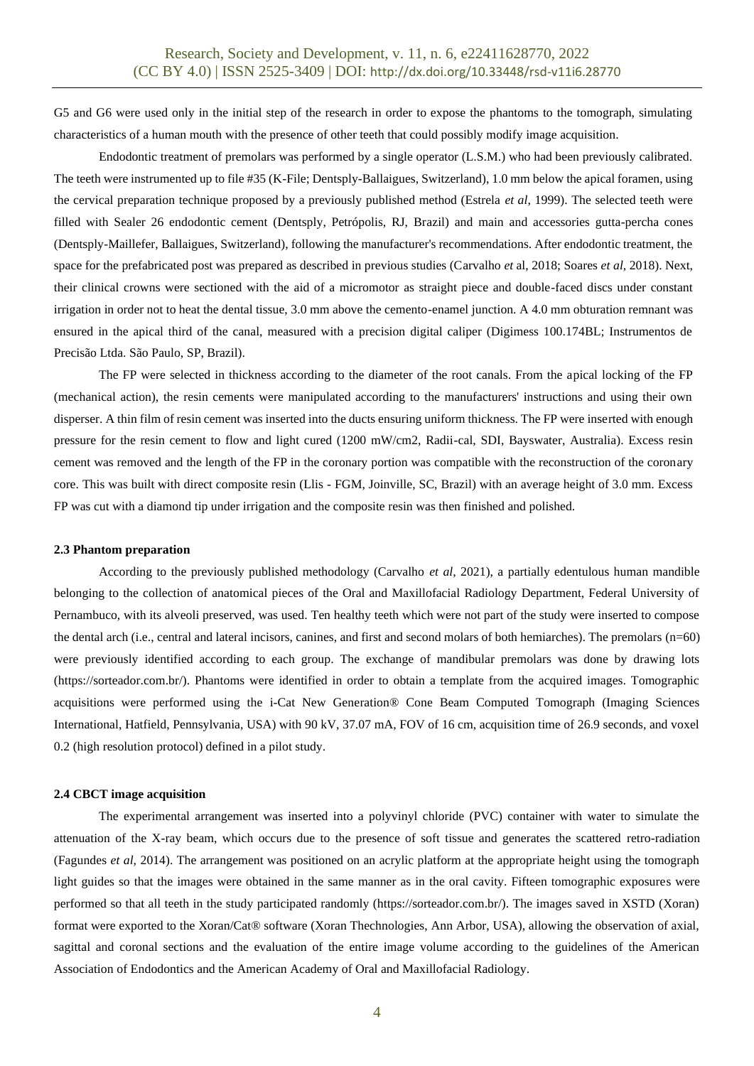G5 and G6 were used only in the initial step of the research in order to expose the phantoms to the tomograph, simulating characteristics of a human mouth with the presence of other teeth that could possibly modify image acquisition.

Endodontic treatment of premolars was performed by a single operator (L.S.M.) who had been previously calibrated. The teeth were instrumented up to file #35 (K-File; Dentsply-Ballaigues, Switzerland), 1.0 mm below the apical foramen, using the cervical preparation technique proposed by a previously published method (Estrela *et al*, 1999). The selected teeth were filled with Sealer 26 endodontic cement (Dentsply, Petrópolis, RJ, Brazil) and main and accessories gutta-percha cones (Dentsply-Maillefer, Ballaigues, Switzerland), following the manufacturer's recommendations. After endodontic treatment, the space for the prefabricated post was prepared as described in previous studies (Carvalho *et* al, 2018; Soares *et al*, 2018). Next, their clinical crowns were sectioned with the aid of a micromotor as straight piece and double-faced discs under constant irrigation in order not to heat the dental tissue, 3.0 mm above the cemento-enamel junction. A 4.0 mm obturation remnant was ensured in the apical third of the canal, measured with a precision digital caliper (Digimess 100.174BL; Instrumentos de Precisão Ltda. São Paulo, SP, Brazil).

The FP were selected in thickness according to the diameter of the root canals. From the apical locking of the FP (mechanical action), the resin cements were manipulated according to the manufacturers' instructions and using their own disperser. A thin film of resin cement was inserted into the ducts ensuring uniform thickness. The FP were inserted with enough pressure for the resin cement to flow and light cured (1200 mW/cm2, Radii-cal, SDI, Bayswater, Australia). Excess resin cement was removed and the length of the FP in the coronary portion was compatible with the reconstruction of the coronary core. This was built with direct composite resin (Llis - FGM, Joinville, SC, Brazil) with an average height of 3.0 mm. Excess FP was cut with a diamond tip under irrigation and the composite resin was then finished and polished.

#### **2.3 Phantom preparation**

According to the previously published methodology (Carvalho *et al*, 2021), a partially edentulous human mandible belonging to the collection of anatomical pieces of the Oral and Maxillofacial Radiology Department, Federal University of Pernambuco, with its alveoli preserved, was used. Ten healthy teeth which were not part of the study were inserted to compose the dental arch (i.e., central and lateral incisors, canines, and first and second molars of both hemiarches). The premolars (n=60) were previously identified according to each group. The exchange of mandibular premolars was done by drawing lots (https://sorteador.com.br/). Phantoms were identified in order to obtain a template from the acquired images. Tomographic acquisitions were performed using the i-Cat New Generation® Cone Beam Computed Tomograph (Imaging Sciences International, Hatfield, Pennsylvania, USA) with 90 kV, 37.07 mA, FOV of 16 cm, acquisition time of 26.9 seconds, and voxel 0.2 (high resolution protocol) defined in a pilot study.

#### **2.4 CBCT image acquisition**

The experimental arrangement was inserted into a polyvinyl chloride (PVC) container with water to simulate the attenuation of the X-ray beam, which occurs due to the presence of soft tissue and generates the scattered retro-radiation (Fagundes *et al*, 2014). The arrangement was positioned on an acrylic platform at the appropriate height using the tomograph light guides so that the images were obtained in the same manner as in the oral cavity. Fifteen tomographic exposures were performed so that all teeth in the study participated randomly (https://sorteador.com.br/). The images saved in XSTD (Xoran) format were exported to the Xoran/Cat® software (Xoran Thechnologies, Ann Arbor, USA), allowing the observation of axial, sagittal and coronal sections and the evaluation of the entire image volume according to the guidelines of the American Association of Endodontics and the American Academy of Oral and Maxillofacial Radiology.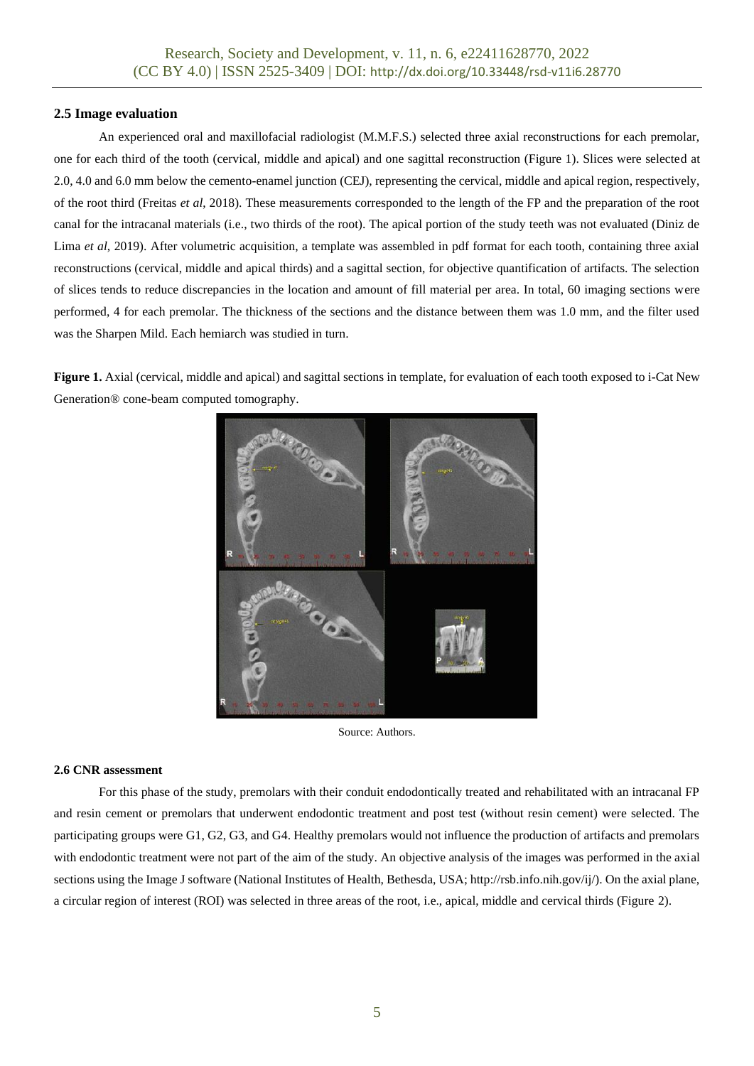# **2.5 Image evaluation**

An experienced oral and maxillofacial radiologist (M.M.F.S.) selected three axial reconstructions for each premolar, one for each third of the tooth (cervical, middle and apical) and one sagittal reconstruction (Figure 1). Slices were selected at 2.0, 4.0 and 6.0 mm below the cemento-enamel junction (CEJ), representing the cervical, middle and apical region, respectively, of the root third (Freitas *et al*, 2018). These measurements corresponded to the length of the FP and the preparation of the root canal for the intracanal materials (i.e., two thirds of the root). The apical portion of the study teeth was not evaluated (Diniz de Lima *et al*, 2019). After volumetric acquisition, a template was assembled in pdf format for each tooth, containing three axial reconstructions (cervical, middle and apical thirds) and a sagittal section, for objective quantification of artifacts. The selection of slices tends to reduce discrepancies in the location and amount of fill material per area. In total, 60 imaging sections were performed, 4 for each premolar. The thickness of the sections and the distance between them was 1.0 mm, and the filter used was the Sharpen Mild. Each hemiarch was studied in turn.

**Figure 1.** Axial (cervical, middle and apical) and sagittal sections in template, for evaluation of each tooth exposed to i-Cat New Generation® cone-beam computed tomography.



Source: Authors.

# **2.6 CNR assessment**

For this phase of the study, premolars with their conduit endodontically treated and rehabilitated with an intracanal FP and resin cement or premolars that underwent endodontic treatment and post test (without resin cement) were selected. The participating groups were G1, G2, G3, and G4. Healthy premolars would not influence the production of artifacts and premolars with endodontic treatment were not part of the aim of the study. An objective analysis of the images was performed in the axial sections using the Image J software (National Institutes of Health, Bethesda, USA; http://rsb.info.nih.gov/ij/). On the axial plane, a circular region of interest (ROI) was selected in three areas of the root, i.e., apical, middle and cervical thirds (Figure 2).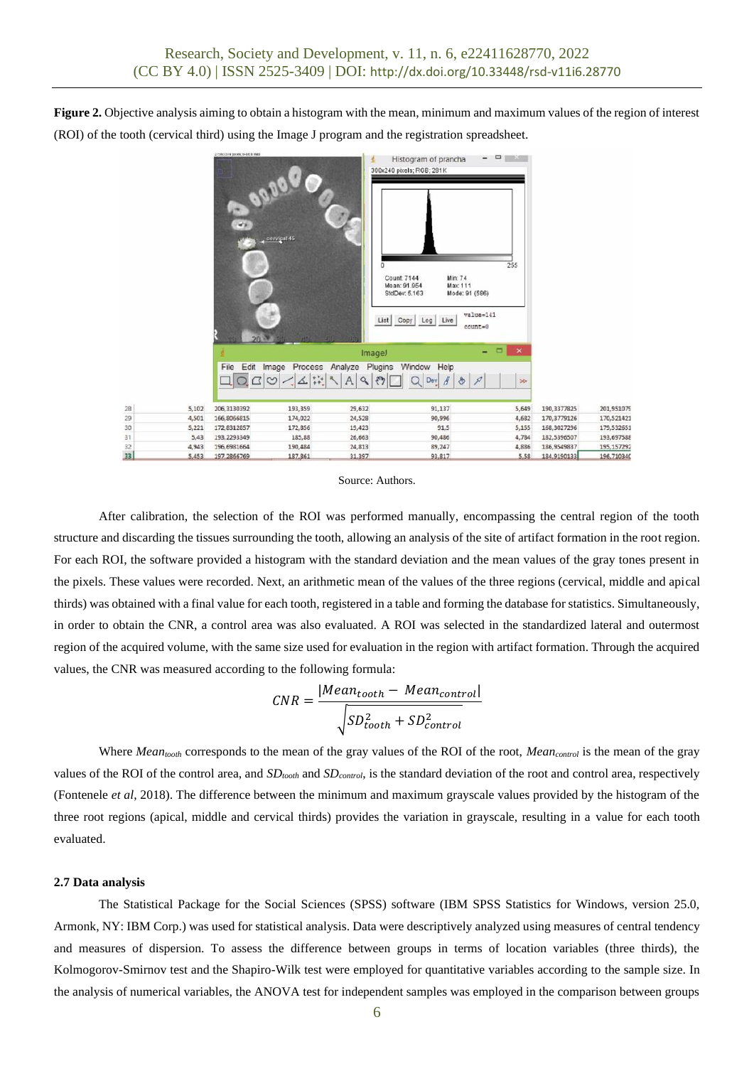**Figure 2.** Objective analysis aiming to obtain a histogram with the mean, minimum and maximum values of the region of interest (ROI) of the tooth (cervical third) using the Image J program and the registration spreadsheet.



Source: Authors.

After calibration, the selection of the ROI was performed manually, encompassing the central region of the tooth structure and discarding the tissues surrounding the tooth, allowing an analysis of the site of artifact formation in the root region. For each ROI, the software provided a histogram with the standard deviation and the mean values of the gray tones present in the pixels. These values were recorded. Next, an arithmetic mean of the values of the three regions (cervical, middle and apical thirds) was obtained with a final value for each tooth, registered in a table and forming the database for statistics. Simultaneously, in order to obtain the CNR, a control area was also evaluated. A ROI was selected in the standardized lateral and outermost region of the acquired volume, with the same size used for evaluation in the region with artifact formation. Through the acquired values, the CNR was measured according to the following formula:

$$
CNR = \frac{|Mean_{tooth} - Mean_{control}|}{\sqrt{SD_{tooth}^2 + SD_{control}^2}}
$$

Where *Meantooth* corresponds to the mean of the gray values of the ROI of the root, *Meancontrol* is the mean of the gray values of the ROI of the control area, and *SDtooth* and *SDcontrol*, is the standard deviation of the root and control area, respectively (Fontenele *et al*, 2018). The difference between the minimum and maximum grayscale values provided by the histogram of the three root regions (apical, middle and cervical thirds) provides the variation in grayscale, resulting in a value for each tooth evaluated.

#### **2.7 Data analysis**

The Statistical Package for the Social Sciences (SPSS) software (IBM SPSS Statistics for Windows, version 25.0, Armonk, NY: IBM Corp.) was used for statistical analysis. Data were descriptively analyzed using measures of central tendency and measures of dispersion. To assess the difference between groups in terms of location variables (three thirds), the Kolmogorov-Smirnov test and the Shapiro-Wilk test were employed for quantitative variables according to the sample size. In the analysis of numerical variables, the ANOVA test for independent samples was employed in the comparison between groups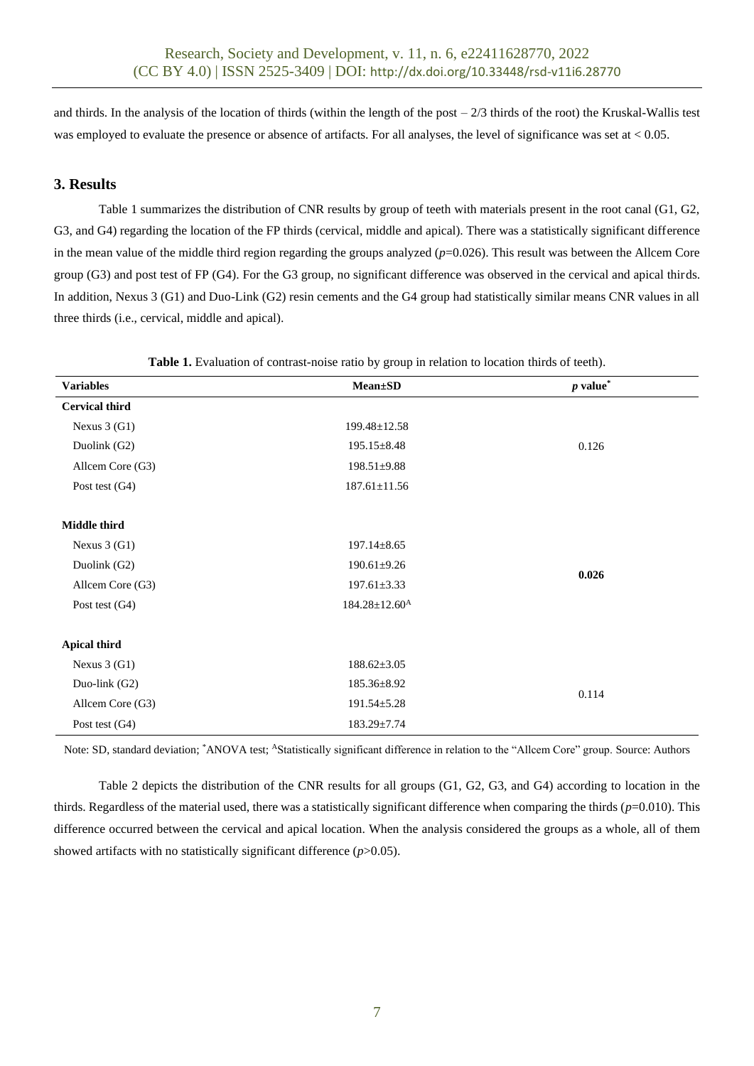and thirds. In the analysis of the location of thirds (within the length of the post  $-2/3$  thirds of the root) the Kruskal-Wallis test was employed to evaluate the presence or absence of artifacts. For all analyses, the level of significance was set at  $< 0.05$ .

# **3. Results**

Table 1 summarizes the distribution of CNR results by group of teeth with materials present in the root canal (G1, G2, G3, and G4) regarding the location of the FP thirds (cervical, middle and apical). There was a statistically significant difference in the mean value of the middle third region regarding the groups analyzed ( $p=0.026$ ). This result was between the Allcem Core group (G3) and post test of FP (G4). For the G3 group, no significant difference was observed in the cervical and apical thirds. In addition, Nexus 3 (G1) and Duo-Link (G2) resin cements and the G4 group had statistically similar means CNR values in all three thirds (i.e., cervical, middle and apical).

| $\sqrt{a}$            |                                 |                        |  |  |  |  |
|-----------------------|---------------------------------|------------------------|--|--|--|--|
| <b>Variables</b>      | <b>Mean</b> ±SD                 | $p$ value <sup>*</sup> |  |  |  |  |
| <b>Cervical third</b> |                                 |                        |  |  |  |  |
| Nexus $3(G1)$         | 199.48±12.58                    |                        |  |  |  |  |
| Duolink (G2)          | $195.15 \pm 8.48$               | 0.126                  |  |  |  |  |
| Allcem Core (G3)      | $198.51 \pm 9.88$               |                        |  |  |  |  |
| Post test $(G4)$      | $187.61 \pm 11.56$              |                        |  |  |  |  |
|                       |                                 |                        |  |  |  |  |
| Middle third          |                                 |                        |  |  |  |  |
| Nexus $3(G1)$         | $197.14 \pm 8.65$               |                        |  |  |  |  |
| Duolink (G2)          | $190.61 \pm 9.26$               | 0.026                  |  |  |  |  |
| Allcem Core (G3)      | $197.61 \pm 3.33$               |                        |  |  |  |  |
| Post test $(G4)$      | $184.28 \pm 12.60$ <sup>A</sup> |                        |  |  |  |  |
|                       |                                 |                        |  |  |  |  |
| <b>Apical third</b>   |                                 |                        |  |  |  |  |
| Nexus $3(G1)$         | $188.62 \pm 3.05$               |                        |  |  |  |  |
| Duo-link (G2)         | 185.36±8.92                     | 0.114                  |  |  |  |  |
| Allcem Core (G3)      | $191.54 \pm 5.28$               |                        |  |  |  |  |
| Post test $(G4)$      | $183.29 \pm 7.74$               |                        |  |  |  |  |

**Table 1.** Evaluation of contrast-noise ratio by group in relation to location thirds of teeth).

Note: SD, standard deviation; \*ANOVA test; AStatistically significant difference in relation to the "Allcem Core" group. Source: Authors

Table 2 depicts the distribution of the CNR results for all groups (G1, G2, G3, and G4) according to location in the thirds. Regardless of the material used, there was a statistically significant difference when comparing the thirds  $(p=0.010)$ . This difference occurred between the cervical and apical location. When the analysis considered the groups as a whole, all of them showed artifacts with no statistically significant difference (*p*>0.05).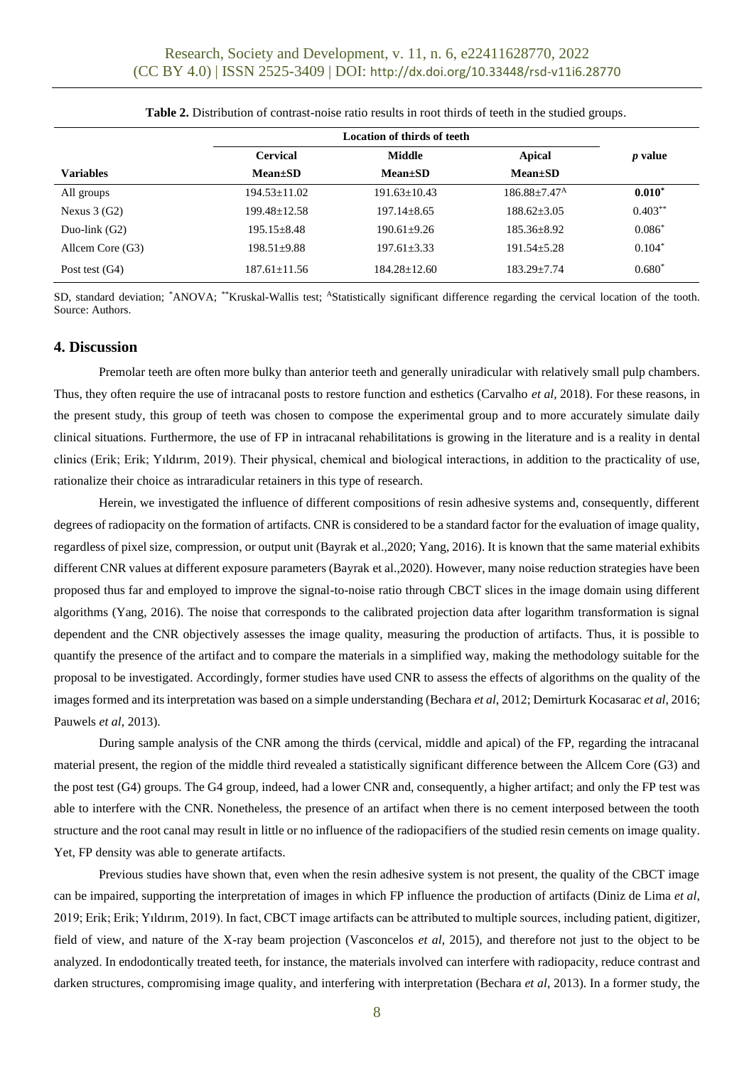|                  | Location of thirds of teeth |                  |                            |                |
|------------------|-----------------------------|------------------|----------------------------|----------------|
|                  | <b>Cervical</b>             | Middle           | Apical                     | <i>p</i> value |
| <b>Variables</b> | $Mean \pm SD$               | $Mean \pm SD$    | $Mean \pm SD$              |                |
| All groups       | $194.53 + 11.02$            | $191.63 + 10.43$ | $186.88 + 7.47^{\text{A}}$ | $0.010*$       |
| Nexus $3(G2)$    | $199.48 + 12.58$            | $197.14 + 8.65$  | $188.62 + 3.05$            | $0.403***$     |
| Duo-link $(G2)$  | $195.15 + 8.48$             | $190.61 + 9.26$  | $185.36 + 8.92$            | $0.086*$       |
| Allcem Core (G3) | $198.51 + 9.88$             | $197.61 + 3.33$  | $191.54 + 5.28$            | $0.104*$       |
| Post test $(G4)$ | $187.61 + 11.56$            | $184.28 + 12.60$ | $183.29 + 7.74$            | $0.680*$       |

**Table 2.** Distribution of contrast-noise ratio results in root thirds of teeth in the studied groups.

SD, standard deviation; \*ANOVA; \*\*Kruskal-Wallis test; <sup>A</sup>Statistically significant difference regarding the cervical location of the tooth. Source: Authors.

### **4. Discussion**

Premolar teeth are often more bulky than anterior teeth and generally uniradicular with relatively small pulp chambers. Thus, they often require the use of intracanal posts to restore function and esthetics (Carvalho *et al*, 2018). For these reasons, in the present study, this group of teeth was chosen to compose the experimental group and to more accurately simulate daily clinical situations. Furthermore, the use of FP in intracanal rehabilitations is growing in the literature and is a reality in dental clinics (Erik; Erik; Yıldırım, 2019). Their physical, chemical and biological interactions, in addition to the practicality of use, rationalize their choice as intraradicular retainers in this type of research.

Herein, we investigated the influence of different compositions of resin adhesive systems and, consequently, different degrees of radiopacity on the formation of artifacts. CNR is considered to be a standard factor for the evaluation of image quality, regardless of pixel size, compression, or output unit (Bayrak et al.,2020; Yang, 2016). It is known that the same material exhibits different CNR values at different exposure parameters (Bayrak et al.,2020). However, many noise reduction strategies have been proposed thus far and employed to improve the signal-to-noise ratio through CBCT slices in the image domain using different algorithms (Yang, 2016). The noise that corresponds to the calibrated projection data after logarithm transformation is signal dependent and the CNR objectively assesses the image quality, measuring the production of artifacts. Thus, it is possible to quantify the presence of the artifact and to compare the materials in a simplified way, making the methodology suitable for the proposal to be investigated. Accordingly, former studies have used CNR to assess the effects of algorithms on the quality of the images formed and its interpretation was based on a simple understanding (Bechara *et al*, 2012; Demirturk Kocasarac *et al*, 2016; Pauwels *et al*, 2013).

During sample analysis of the CNR among the thirds (cervical, middle and apical) of the FP, regarding the intracanal material present, the region of the middle third revealed a statistically significant difference between the Allcem Core (G3) and the post test (G4) groups. The G4 group, indeed, had a lower CNR and, consequently, a higher artifact; and only the FP test was able to interfere with the CNR. Nonetheless, the presence of an artifact when there is no cement interposed between the tooth structure and the root canal may result in little or no influence of the radiopacifiers of the studied resin cements on image quality. Yet, FP density was able to generate artifacts.

Previous studies have shown that, even when the resin adhesive system is not present, the quality of the CBCT image can be impaired, supporting the interpretation of images in which FP influence the production of artifacts (Diniz de Lima *et al*, 2019; Erik; Erik; Yıldırım, 2019). In fact, CBCT image artifacts can be attributed to multiple sources, including patient, digitizer, field of view, and nature of the X-ray beam projection (Vasconcelos *et al*, 2015), and therefore not just to the object to be analyzed. In endodontically treated teeth, for instance, the materials involved can interfere with radiopacity, reduce contrast and darken structures, compromising image quality, and interfering with interpretation (Bechara *et al*, 2013). In a former study, the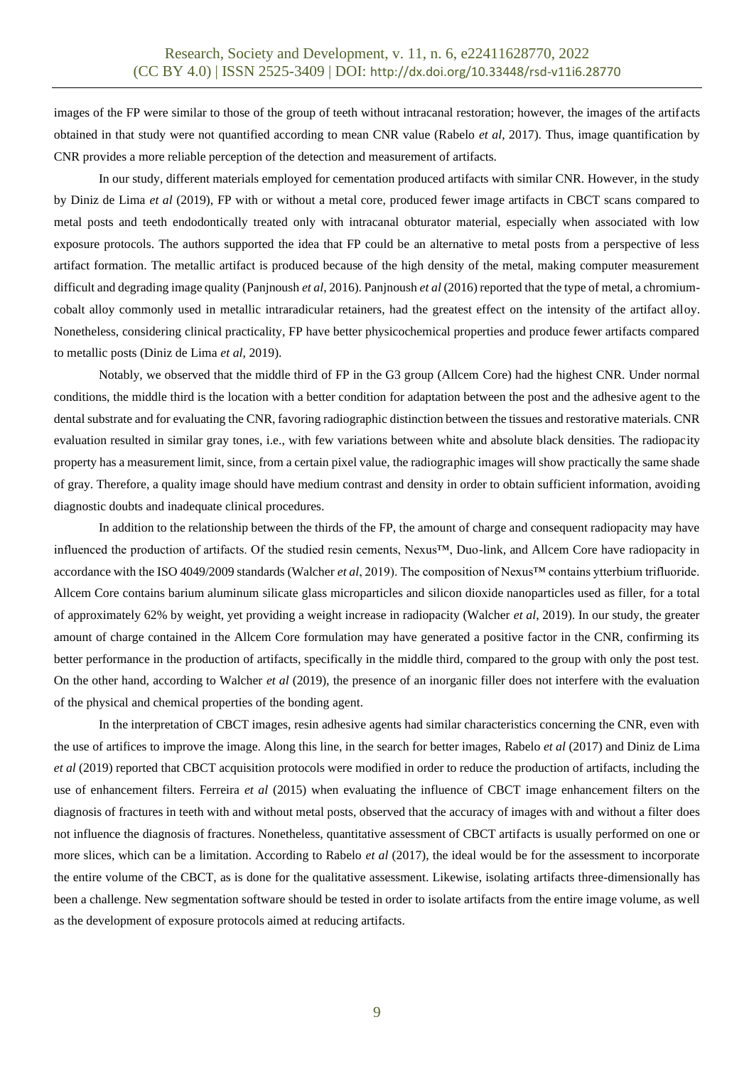images of the FP were similar to those of the group of teeth without intracanal restoration; however, the images of the artifacts obtained in that study were not quantified according to mean CNR value (Rabelo *et al*, 2017). Thus, image quantification by CNR provides a more reliable perception of the detection and measurement of artifacts.

In our study, different materials employed for cementation produced artifacts with similar CNR. However, in the study by Diniz de Lima *et al* (2019), FP with or without a metal core, produced fewer image artifacts in CBCT scans compared to metal posts and teeth endodontically treated only with intracanal obturator material, especially when associated with low exposure protocols. The authors supported the idea that FP could be an alternative to metal posts from a perspective of less artifact formation. The metallic artifact is produced because of the high density of the metal, making computer measurement difficult and degrading image quality (Panjnoush *et al*, 2016). Panjnoush *et al* (2016) reported that the type of metal, a chromiumcobalt alloy commonly used in metallic intraradicular retainers, had the greatest effect on the intensity of the artifact alloy. Nonetheless, considering clinical practicality, FP have better physicochemical properties and produce fewer artifacts compared to metallic posts (Diniz de Lima *et al*, 2019).

Notably, we observed that the middle third of FP in the G3 group (Allcem Core) had the highest CNR. Under normal conditions, the middle third is the location with a better condition for adaptation between the post and the adhesive agent to the dental substrate and for evaluating the CNR, favoring radiographic distinction between the tissues and restorative materials. CNR evaluation resulted in similar gray tones, i.e., with few variations between white and absolute black densities. The radiopacity property has a measurement limit, since, from a certain pixel value, the radiographic images will show practically the same shade of gray. Therefore, a quality image should have medium contrast and density in order to obtain sufficient information, avoiding diagnostic doubts and inadequate clinical procedures.

In addition to the relationship between the thirds of the FP, the amount of charge and consequent radiopacity may have influenced the production of artifacts. Of the studied resin cements, Nexus™, Duo-link, and Allcem Core have radiopacity in accordance with the ISO 4049/2009 standards (Walcher *et al*, 2019). The composition of Nexus™ contains ytterbium trifluoride. Allcem Core contains barium aluminum silicate glass microparticles and silicon dioxide nanoparticles used as filler, for a total of approximately 62% by weight, yet providing a weight increase in radiopacity (Walcher *et al*, 2019). In our study, the greater amount of charge contained in the Allcem Core formulation may have generated a positive factor in the CNR, confirming its better performance in the production of artifacts, specifically in the middle third, compared to the group with only the post test. On the other hand, according to Walcher *et al* (2019), the presence of an inorganic filler does not interfere with the evaluation of the physical and chemical properties of the bonding agent.

In the interpretation of CBCT images, resin adhesive agents had similar characteristics concerning the CNR, even with the use of artifices to improve the image. Along this line, in the search for better images, Rabelo *et al* (2017) and Diniz de Lima *et al* (2019) reported that CBCT acquisition protocols were modified in order to reduce the production of artifacts, including the use of enhancement filters. Ferreira *et al* (2015) when evaluating the influence of CBCT image enhancement filters on the diagnosis of fractures in teeth with and without metal posts, observed that the accuracy of images with and without a filter does not influence the diagnosis of fractures. Nonetheless, quantitative assessment of CBCT artifacts is usually performed on one or more slices, which can be a limitation. According to Rabelo *et al* (2017), the ideal would be for the assessment to incorporate the entire volume of the CBCT, as is done for the qualitative assessment. Likewise, isolating artifacts three-dimensionally has been a challenge. New segmentation software should be tested in order to isolate artifacts from the entire image volume, as well as the development of exposure protocols aimed at reducing artifacts.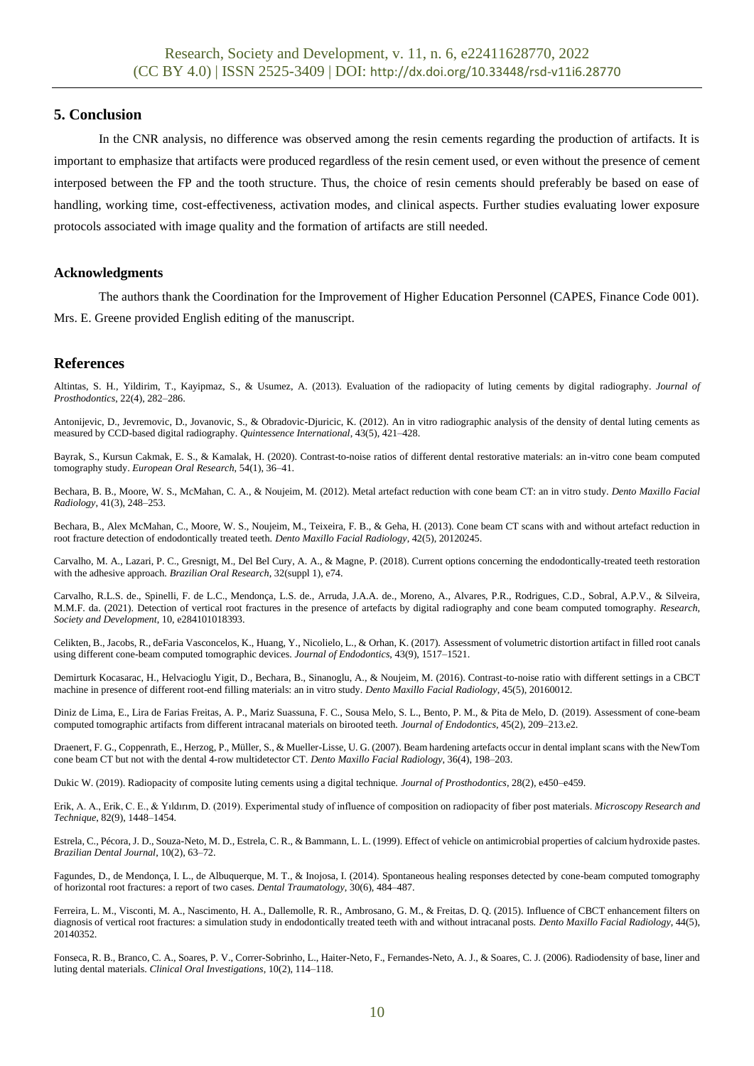# **5. Conclusion**

In the CNR analysis, no difference was observed among the resin cements regarding the production of artifacts. It is important to emphasize that artifacts were produced regardless of the resin cement used, or even without the presence of cement interposed between the FP and the tooth structure. Thus, the choice of resin cements should preferably be based on ease of handling, working time, cost-effectiveness, activation modes, and clinical aspects. Further studies evaluating lower exposure protocols associated with image quality and the formation of artifacts are still needed.

# **Acknowledgments**

The authors thank the Coordination for the Improvement of Higher Education Personnel (CAPES, Finance Code 001). Mrs. E. Greene provided English editing of the manuscript.

# **References**

Altintas, S. H., Yildirim, T., Kayipmaz, S., & Usumez, A. (2013). Evaluation of the radiopacity of luting cements by digital radiography. *Journal of Prosthodontics*, 22(4), 282–286.

Antonijevic, D., Jevremovic, D., Jovanovic, S., & Obradovic-Djuricic, K. (2012). An in vitro radiographic analysis of the density of dental luting cements as measured by CCD-based digital radiography. *Quintessence International*, 43(5), 421–428.

Bayrak, S., Kursun Cakmak, E. S., & Kamalak, H. (2020). Contrast-to-noise ratios of different dental restorative materials: an in-vitro cone beam computed tomography study. *European Oral Research*, 54(1), 36–41.

Bechara, B. B., Moore, W. S., McMahan, C. A., & Noujeim, M. (2012). Metal artefact reduction with cone beam CT: an in vitro study. *Dento Maxillo Facial Radiology*, 41(3), 248–253.

Bechara, B., Alex McMahan, C., Moore, W. S., Noujeim, M., Teixeira, F. B., & Geha, H. (2013). Cone beam CT scans with and without artefact reduction in root fracture detection of endodontically treated teeth. *Dento Maxillo Facial Radiology*, 42(5), 20120245.

Carvalho, M. A., Lazari, P. C., Gresnigt, M., Del Bel Cury, A. A., & Magne, P. (2018). Current options concerning the endodontically-treated teeth restoration with the adhesive approach. *Brazilian Oral Research*, 32(suppl 1), e74.

Carvalho, R.L.S. de., Spinelli, F. de L.C., Mendonça, L.S. de., Arruda, J.A.A. de., Moreno, A., Alvares, P.R., Rodrigues, C.D., Sobral, A.P.V., & Silveira, M.M.F. da. (2021). Detection of vertical root fractures in the presence of artefacts by digital radiography and cone beam computed tomography. *Research, Society and Development*, 10, e284101018393.

Celikten, B., Jacobs, R., deFaria Vasconcelos, K., Huang, Y., Nicolielo, L., & Orhan, K. (2017). Assessment of volumetric distortion artifact in filled root canals using different cone-beam computed tomographic devices. *Journal of Endodontics*, 43(9), 1517–1521.

Demirturk Kocasarac, H., Helvacioglu Yigit, D., Bechara, B., Sinanoglu, A., & Noujeim, M. (2016). Contrast-to-noise ratio with different settings in a CBCT machine in presence of different root-end filling materials: an in vitro study. *Dento Maxillo Facial Radiology*, 45(5), 20160012.

Diniz de Lima, E., Lira de Farias Freitas, A. P., Mariz Suassuna, F. C., Sousa Melo, S. L., Bento, P. M., & Pita de Melo, D. (2019). Assessment of cone-beam computed tomographic artifacts from different intracanal materials on birooted teeth. *Journal of Endodontics*, 45(2), 209–213.e2.

Draenert, F. G., Coppenrath, E., Herzog, P., Müller, S., & Mueller-Lisse, U. G. (2007). Beam hardening artefacts occur in dental implant scans with the NewTom cone beam CT but not with the dental 4-row multidetector CT. *Dento Maxillo Facial Radiology*, 36(4), 198–203.

Dukic W. (2019). Radiopacity of composite luting cements using a digital technique. *Journal of Prosthodontics*, 28(2), e450–e459.

Erik, A. A., Erik, C. E., & Yıldırım, D. (2019). Experimental study of influence of composition on radiopacity of fiber post materials. *Microscopy Research and Technique*, 82(9), 1448–1454.

Estrela, C., Pécora, J. D., Souza-Neto, M. D., Estrela, C. R., & Bammann, L. L. (1999). Effect of vehicle on antimicrobial properties of calcium hydroxide pastes. *Brazilian Dental Journal*, 10(2), 63–72.

Fagundes, D., de Mendonça, I. L., de Albuquerque, M. T., & Inojosa, I. (2014). Spontaneous healing responses detected by cone-beam computed tomography of horizontal root fractures: a report of two cases. *Dental Traumatology*, 30(6), 484–487.

Ferreira, L. M., Visconti, M. A., Nascimento, H. A., Dallemolle, R. R., Ambrosano, G. M., & Freitas, D. Q. (2015). Influence of CBCT enhancement filters on diagnosis of vertical root fractures: a simulation study in endodontically treated teeth with and without intracanal posts. *Dento Maxillo Facial Radiology*, 44(5), 20140352.

Fonseca, R. B., Branco, C. A., Soares, P. V., Correr-Sobrinho, L., Haiter-Neto, F., Fernandes-Neto, A. J., & Soares, C. J. (2006). Radiodensity of base, liner and luting dental materials. *Clinical Oral Investigations*, 10(2), 114–118.